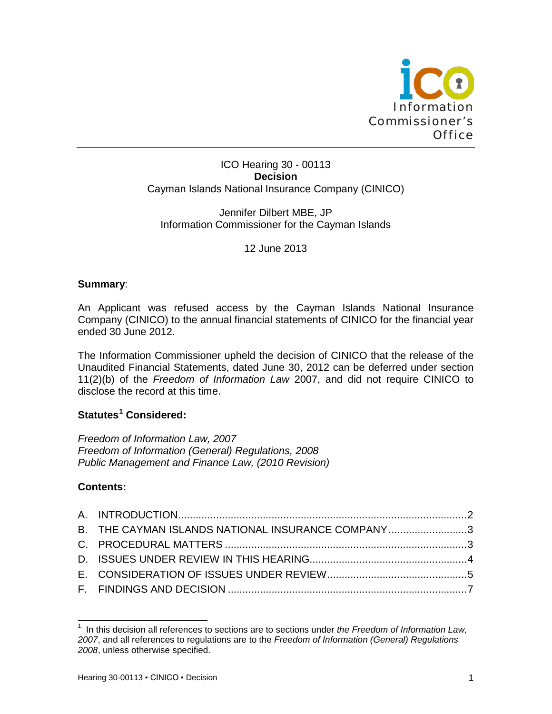

### ICO Hearing 30 - 00113 **Decision** Cayman Islands National Insurance Company (CINICO)

### Jennifer Dilbert MBE, JP Information Commissioner for the Cayman Islands

12 June 2013

### **Summary**:

An Applicant was refused access by the Cayman Islands National Insurance Company (CINICO) to the annual financial statements of CINICO for the financial year ended 30 June 2012.

The Information Commissioner upheld the decision of CINICO that the release of the Unaudited Financial Statements, dated June 30, 2012 can be deferred under section 11(2)(b) of the *Freedom of Information Law* 2007, and did not require CINICO to disclose the record at this time.

# **Statutes[1](#page-0-0) Considered:**

*Freedom of Information Law, 2007 Freedom of Information (General) Regulations, 2008 Public Management and Finance Law, (2010 Revision)*

# **Contents:**

| B. THE CAYMAN ISLANDS NATIONAL INSURANCE COMPANY3 |  |
|---------------------------------------------------|--|
|                                                   |  |
|                                                   |  |
|                                                   |  |
|                                                   |  |
|                                                   |  |

<span id="page-0-0"></span> <sup>1</sup> In this decision all references to sections are to sections under *the Freedom of Information Law, 2007*, and all references to regulations are to the *Freedom of Information (General) Regulations 2008*, unless otherwise specified.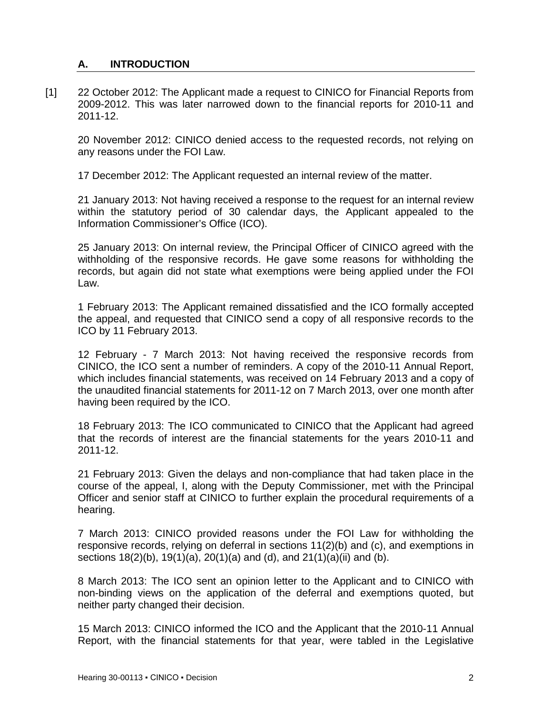## <span id="page-1-0"></span>**A. INTRODUCTION**

[1] 22 October 2012: The Applicant made a request to CINICO for Financial Reports from 2009-2012. This was later narrowed down to the financial reports for 2010-11 and 2011-12.

20 November 2012: CINICO denied access to the requested records, not relying on any reasons under the FOI Law.

17 December 2012: The Applicant requested an internal review of the matter.

21 January 2013: Not having received a response to the request for an internal review within the statutory period of 30 calendar days, the Applicant appealed to the Information Commissioner's Office (ICO).

25 January 2013: On internal review, the Principal Officer of CINICO agreed with the withholding of the responsive records. He gave some reasons for withholding the records, but again did not state what exemptions were being applied under the FOI Law.

1 February 2013: The Applicant remained dissatisfied and the ICO formally accepted the appeal, and requested that CINICO send a copy of all responsive records to the ICO by 11 February 2013.

12 February - 7 March 2013: Not having received the responsive records from CINICO, the ICO sent a number of reminders. A copy of the 2010-11 Annual Report, which includes financial statements, was received on 14 February 2013 and a copy of the unaudited financial statements for 2011-12 on 7 March 2013, over one month after having been required by the ICO.

18 February 2013: The ICO communicated to CINICO that the Applicant had agreed that the records of interest are the financial statements for the years 2010-11 and 2011-12.

21 February 2013: Given the delays and non-compliance that had taken place in the course of the appeal, I, along with the Deputy Commissioner, met with the Principal Officer and senior staff at CINICO to further explain the procedural requirements of a hearing.

7 March 2013: CINICO provided reasons under the FOI Law for withholding the responsive records, relying on deferral in sections 11(2)(b) and (c), and exemptions in sections 18(2)(b), 19(1)(a), 20(1)(a) and (d), and 21(1)(a)(ii) and (b).

8 March 2013: The ICO sent an opinion letter to the Applicant and to CINICO with non-binding views on the application of the deferral and exemptions quoted, but neither party changed their decision.

15 March 2013: CINICO informed the ICO and the Applicant that the 2010-11 Annual Report, with the financial statements for that year, were tabled in the Legislative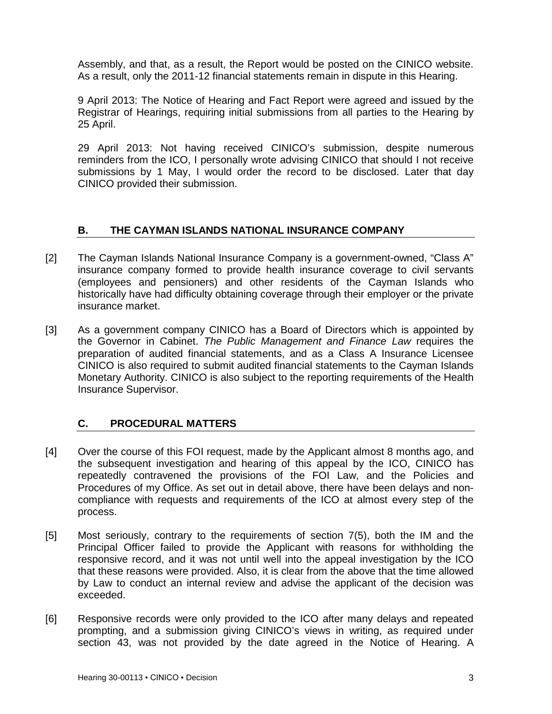Assembly, and that, as a result, the Report would be posted on the CINICO website. As a result, only the 2011-12 financial statements remain in dispute in this Hearing.

9 April 2013: The Notice of Hearing and Fact Report were agreed and issued by the Registrar of Hearings, requiring initial submissions from all parties to the Hearing by 25 April.

29 April 2013: Not having received CINICO's submission, despite numerous reminders from the ICO, I personally wrote advising CINICO that should I not receive submissions by 1 May, I would order the record to be disclosed. Later that day CINICO provided their submission.

### <span id="page-2-0"></span>**B. THE CAYMAN ISLANDS NATIONAL INSURANCE COMPANY**

- [2] The Cayman Islands National Insurance Company is a government-owned, "Class A" insurance company formed to provide health insurance coverage to civil servants (employees and pensioners) and other residents of the Cayman Islands who historically have had difficulty obtaining coverage through their employer or the private insurance market.
- [3] As a government company CINICO has a Board of Directors which is appointed by the Governor in Cabinet. *The Public Management and Finance Law* requires the preparation of audited financial statements, and as a Class A Insurance Licensee CINICO is also required to submit audited financial statements to the Cayman Islands Monetary Authority. CINICO is also subject to the reporting requirements of the Health Insurance Supervisor.

# <span id="page-2-1"></span>**C. PROCEDURAL MATTERS**

- [4] Over the course of this FOI request, made by the Applicant almost 8 months ago, and the subsequent investigation and hearing of this appeal by the ICO, CINICO has repeatedly contravened the provisions of the FOI Law, and the Policies and Procedures of my Office. As set out in detail above, there have been delays and noncompliance with requests and requirements of the ICO at almost every step of the process.
- [5] Most seriously, contrary to the requirements of section 7(5), both the IM and the Principal Officer failed to provide the Applicant with reasons for withholding the responsive record, and it was not until well into the appeal investigation by the ICO that these reasons were provided. Also, it is clear from the above that the time allowed by Law to conduct an internal review and advise the applicant of the decision was exceeded.
- [6] Responsive records were only provided to the ICO after many delays and repeated prompting, and a submission giving CINICO's views in writing, as required under section 43, was not provided by the date agreed in the Notice of Hearing. A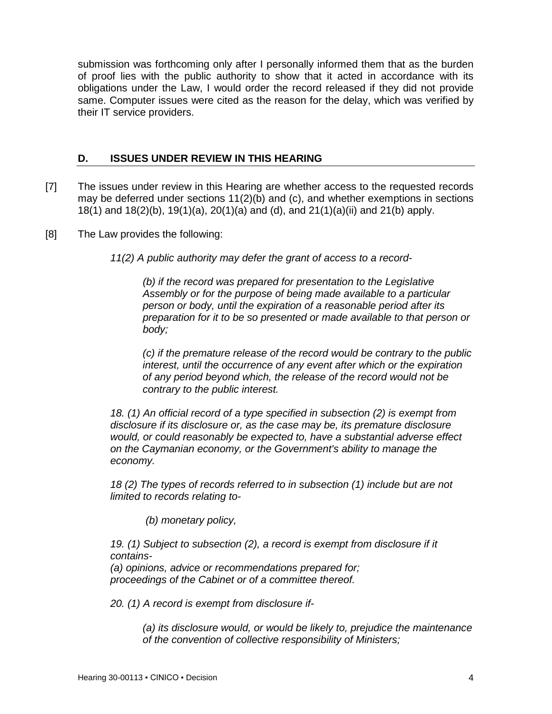submission was forthcoming only after I personally informed them that as the burden of proof lies with the public authority to show that it acted in accordance with its obligations under the Law, I would order the record released if they did not provide same. Computer issues were cited as the reason for the delay, which was verified by their IT service providers.

### <span id="page-3-0"></span>**D. ISSUES UNDER REVIEW IN THIS HEARING**

- [7] The issues under review in this Hearing are whether access to the requested records may be deferred under sections 11(2)(b) and (c), and whether exemptions in sections 18(1) and 18(2)(b), 19(1)(a), 20(1)(a) and (d), and 21(1)(a)(ii) and 21(b) apply.
- [8] The Law provides the following:
	- *11(2) A public authority may defer the grant of access to a record-*

*(b) if the record was prepared for presentation to the Legislative Assembly or for the purpose of being made available to a particular person or body, until the expiration of a reasonable period after its preparation for it to be so presented or made available to that person or body;*

*(c) if the premature release of the record would be contrary to the public interest, until the occurrence of any event after which or the expiration of any period beyond which, the release of the record would not be contrary to the public interest.*

*18. (1) An official record of a type specified in subsection (2) is exempt from disclosure if its disclosure or, as the case may be, its premature disclosure would, or could reasonably be expected to, have a substantial adverse effect on the Caymanian economy, or the Government's ability to manage the economy.*

*18 (2) The types of records referred to in subsection (1) include but are not limited to records relating to-*

*(b) monetary policy,*

*19. (1) Subject to subsection (2), a record is exempt from disclosure if it contains-*

*(a) opinions, advice or recommendations prepared for; proceedings of the Cabinet or of a committee thereof.*

*20. (1) A record is exempt from disclosure if-*

*(a) its disclosure would, or would be likely to, prejudice the maintenance of the convention of collective responsibility of Ministers;*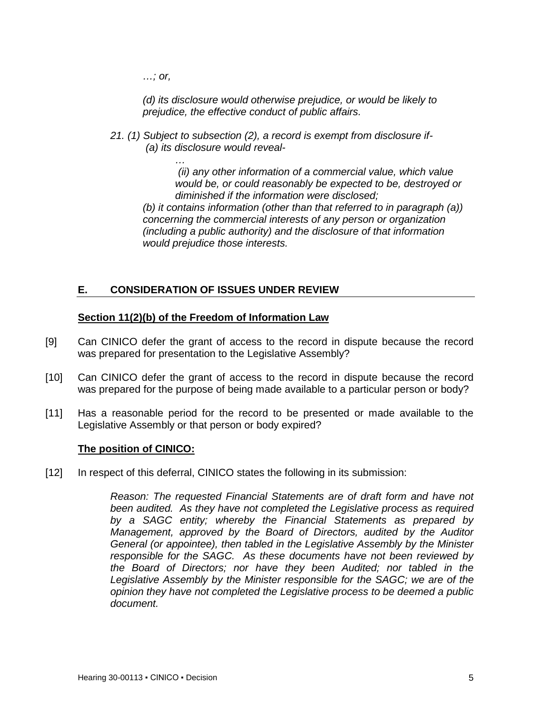*…; or,*

*(d) its disclosure would otherwise prejudice, or would be likely to prejudice, the effective conduct of public affairs.*

*21. (1) Subject to subsection (2), a record is exempt from disclosure if- (a) its disclosure would reveal-*

> *… (ii) any other information of a commercial value, which value would be, or could reasonably be expected to be, destroyed or diminished if the information were disclosed;*

*(b) it contains information (other than that referred to in paragraph (a)) concerning the commercial interests of any person or organization (including a public authority) and the disclosure of that information would prejudice those interests.*

# <span id="page-4-0"></span>**E. CONSIDERATION OF ISSUES UNDER REVIEW**

# **Section 11(2)(b) of the Freedom of Information Law**

- [9] Can CINICO defer the grant of access to the record in dispute because the record was prepared for presentation to the Legislative Assembly?
- [10] Can CINICO defer the grant of access to the record in dispute because the record was prepared for the purpose of being made available to a particular person or body?
- [11] Has a reasonable period for the record to be presented or made available to the Legislative Assembly or that person or body expired?

### **The position of CINICO:**

[12] In respect of this deferral, CINICO states the following in its submission:

*Reason: The requested Financial Statements are of draft form and have not been audited. As they have not completed the Legislative process as required by a SAGC entity; whereby the Financial Statements as prepared by Management, approved by the Board of Directors, audited by the Auditor General (or appointee), then tabled in the Legislative Assembly by the Minister responsible for the SAGC. As these documents have not been reviewed by the Board of Directors; nor have they been Audited; nor tabled in the Legislative Assembly by the Minister responsible for the SAGC; we are of the opinion they have not completed the Legislative process to be deemed a public document.*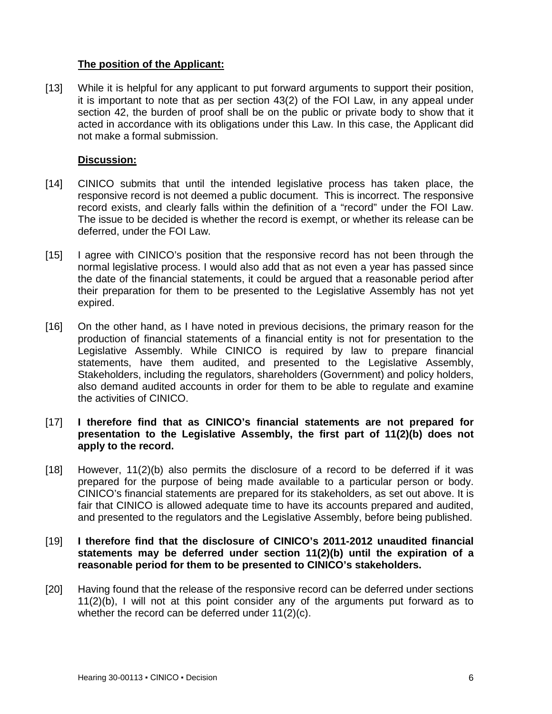### **The position of the Applicant:**

[13] While it is helpful for any applicant to put forward arguments to support their position, it is important to note that as per section 43(2) of the FOI Law, in any appeal under section 42, the burden of proof shall be on the public or private body to show that it acted in accordance with its obligations under this Law. In this case, the Applicant did not make a formal submission.

### **Discussion:**

- [14] CINICO submits that until the intended legislative process has taken place, the responsive record is not deemed a public document. This is incorrect. The responsive record exists, and clearly falls within the definition of a "record" under the FOI Law. The issue to be decided is whether the record is exempt, or whether its release can be deferred, under the FOI Law.
- [15] I agree with CINICO's position that the responsive record has not been through the normal legislative process. I would also add that as not even a year has passed since the date of the financial statements, it could be argued that a reasonable period after their preparation for them to be presented to the Legislative Assembly has not yet expired.
- [16] On the other hand, as I have noted in previous decisions, the primary reason for the production of financial statements of a financial entity is not for presentation to the Legislative Assembly. While CINICO is required by law to prepare financial statements, have them audited, and presented to the Legislative Assembly, Stakeholders, including the regulators, shareholders (Government) and policy holders, also demand audited accounts in order for them to be able to regulate and examine the activities of CINICO.
- [17] **I therefore find that as CINICO's financial statements are not prepared for presentation to the Legislative Assembly, the first part of 11(2)(b) does not apply to the record.**
- [18] However, 11(2)(b) also permits the disclosure of a record to be deferred if it was prepared for the purpose of being made available to a particular person or body. CINICO's financial statements are prepared for its stakeholders, as set out above. It is fair that CINICO is allowed adequate time to have its accounts prepared and audited, and presented to the regulators and the Legislative Assembly, before being published.
- [19] **I therefore find that the disclosure of CINICO's 2011-2012 unaudited financial statements may be deferred under section 11(2)(b) until the expiration of a reasonable period for them to be presented to CINICO's stakeholders.**
- [20] Having found that the release of the responsive record can be deferred under sections 11(2)(b), I will not at this point consider any of the arguments put forward as to whether the record can be deferred under 11(2)(c).